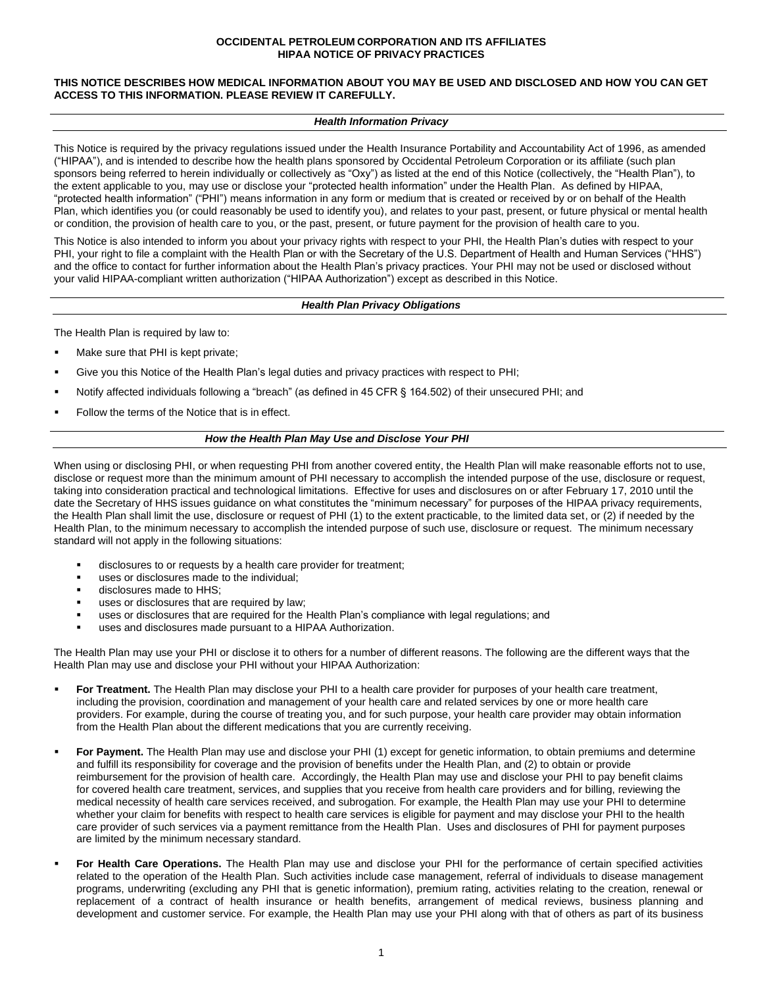## **OCCIDENTAL PETROLEUM CORPORATION AND ITS AFFILIATES HIPAA NOTICE OF PRIVACY PRACTICES**

## **THIS NOTICE DESCRIBES HOW MEDICAL INFORMATION ABOUT YOU MAY BE USED AND DISCLOSED AND HOW YOU CAN GET ACCESS TO THIS INFORMATION. PLEASE REVIEW IT CAREFULLY.**

#### *Health Information Privacy*

This Notice is required by the privacy regulations issued under the Health Insurance Portability and Accountability Act of 1996, as amended ("HIPAA"), and is intended to describe how the health plans sponsored by Occidental Petroleum Corporation or its affiliate (such plan sponsors being referred to herein individually or collectively as "Oxy") as listed at the end of this Notice (collectively, the "Health Plan"), to the extent applicable to you, may use or disclose your "protected health information" under the Health Plan. As defined by HIPAA, "protected health information" ("PHI") means information in any form or medium that is created or received by or on behalf of the Health Plan, which identifies you (or could reasonably be used to identify you), and relates to your past, present, or future physical or mental health or condition, the provision of health care to you, or the past, present, or future payment for the provision of health care to you.

This Notice is also intended to inform you about your privacy rights with respect to your PHI, the Health Plan's duties with respect to your PHI, your right to file a complaint with the Health Plan or with the Secretary of the U.S. Department of Health and Human Services ("HHS") and the office to contact for further information about the Health Plan's privacy practices. Your PHI may not be used or disclosed without your valid HIPAA-compliant written authorization ("HIPAA Authorization") except as described in this Notice.

## *Health Plan Privacy Obligations*

The Health Plan is required by law to:

- Make sure that PHI is kept private:
- Give you this Notice of the Health Plan's legal duties and privacy practices with respect to PHI;
- Notify affected individuals following a "breach" (as defined in 45 CFR § 164.502) of their unsecured PHI; and
- Follow the terms of the Notice that is in effect.

## *How the Health Plan May Use and Disclose Your PHI*

When using or disclosing PHI, or when requesting PHI from another covered entity, the Health Plan will make reasonable efforts not to use, disclose or request more than the minimum amount of PHI necessary to accomplish the intended purpose of the use, disclosure or request, taking into consideration practical and technological limitations. Effective for uses and disclosures on or after February 17, 2010 until the date the Secretary of HHS issues guidance on what constitutes the "minimum necessary" for purposes of the HIPAA privacy requirements, the Health Plan shall limit the use, disclosure or request of PHI (1) to the extent practicable, to the limited data set, or (2) if needed by the Health Plan, to the minimum necessary to accomplish the intended purpose of such use, disclosure or request. The minimum necessary standard will not apply in the following situations:

- disclosures to or requests by a health care provider for treatment;
- uses or disclosures made to the individual;
- disclosures made to HHS;
- uses or disclosures that are required by law;
- uses or disclosures that are required for the Health Plan's compliance with legal regulations; and
- uses and disclosures made pursuant to a HIPAA Authorization.

The Health Plan may use your PHI or disclose it to others for a number of different reasons. The following are the different ways that the Health Plan may use and disclose your PHI without your HIPAA Authorization:

- For Treatment. The Health Plan may disclose your PHI to a health care provider for purposes of your health care treatment, including the provision, coordination and management of your health care and related services by one or more health care providers. For example, during the course of treating you, and for such purpose, your health care provider may obtain information from the Health Plan about the different medications that you are currently receiving.
- For Payment. The Health Plan may use and disclose your PHI (1) except for genetic information, to obtain premiums and determine and fulfill its responsibility for coverage and the provision of benefits under the Health Plan, and (2) to obtain or provide reimbursement for the provision of health care. Accordingly, the Health Plan may use and disclose your PHI to pay benefit claims for covered health care treatment, services, and supplies that you receive from health care providers and for billing, reviewing the medical necessity of health care services received, and subrogation. For example, the Health Plan may use your PHI to determine whether your claim for benefits with respect to health care services is eligible for payment and may disclose your PHI to the health care provider of such services via a payment remittance from the Health Plan. Uses and disclosures of PHI for payment purposes are limited by the minimum necessary standard.
- For Health Care Operations. The Health Plan may use and disclose your PHI for the performance of certain specified activities related to the operation of the Health Plan. Such activities include case management, referral of individuals to disease management programs, underwriting (excluding any PHI that is genetic information), premium rating, activities relating to the creation, renewal or replacement of a contract of health insurance or health benefits, arrangement of medical reviews, business planning and development and customer service. For example, the Health Plan may use your PHI along with that of others as part of its business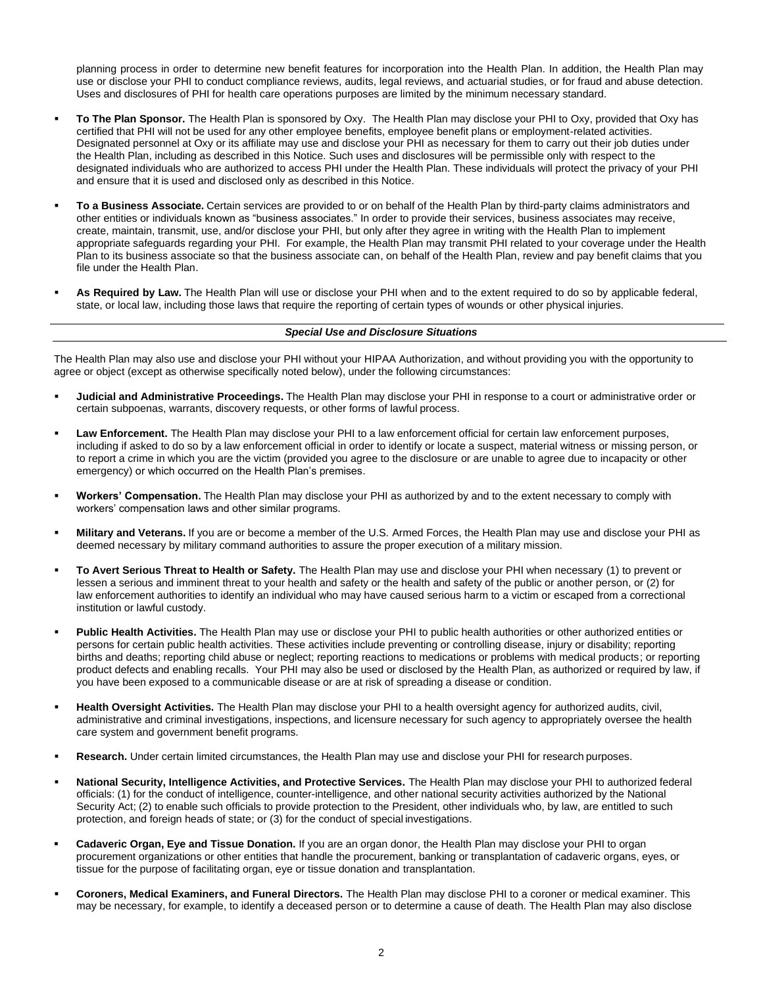planning process in order to determine new benefit features for incorporation into the Health Plan. In addition, the Health Plan may use or disclose your PHI to conduct compliance reviews, audits, legal reviews, and actuarial studies, or for fraud and abuse detection. Uses and disclosures of PHI for health care operations purposes are limited by the minimum necessary standard.

- **To The Plan Sponsor.** The Health Plan is sponsored by Oxy. The Health Plan may disclose your PHI to Oxy, provided that Oxy has certified that PHI will not be used for any other employee benefits, employee benefit plans or employment-related activities. Designated personnel at Oxy or its affiliate may use and disclose your PHI as necessary for them to carry out their job duties under the Health Plan, including as described in this Notice. Such uses and disclosures will be permissible only with respect to the designated individuals who are authorized to access PHI under the Health Plan. These individuals will protect the privacy of your PHI and ensure that it is used and disclosed only as described in this Notice.
- To a Business Associate. Certain services are provided to or on behalf of the Health Plan by third-party claims administrators and other entities or individuals known as "business associates." In order to provide their services, business associates may receive, create, maintain, transmit, use, and/or disclose your PHI, but only after they agree in writing with the Health Plan to implement appropriate safeguards regarding your PHI. For example, the Health Plan may transmit PHI related to your coverage under the Health Plan to its business associate so that the business associate can, on behalf of the Health Plan, review and pay benefit claims that you file under the Health Plan.
- As Required by Law. The Health Plan will use or disclose your PHI when and to the extent required to do so by applicable federal, state, or local law, including those laws that require the reporting of certain types of wounds or other physical injuries.

#### *Special Use and Disclosure Situations*

The Health Plan may also use and disclose your PHI without your HIPAA Authorization, and without providing you with the opportunity to agree or object (except as otherwise specifically noted below), under the following circumstances:

- **Judicial and Administrative Proceedings.** The Health Plan may disclose your PHI in response to a court or administrative order or certain subpoenas, warrants, discovery requests, or other forms of lawful process.
- Law Enforcement. The Health Plan may disclose your PHI to a law enforcement official for certain law enforcement purposes, including if asked to do so by a law enforcement official in order to identify or locate a suspect, material witness or missing person, or to report a crime in which you are the victim (provided you agree to the disclosure or are unable to agree due to incapacity or other emergency) or which occurred on the Health Plan's premises.
- Workers' Compensation. The Health Plan may disclose your PHI as authorized by and to the extent necessary to comply with workers' compensation laws and other similar programs.
- **Military and Veterans.** If you are or become a member of the U.S. Armed Forces, the Health Plan may use and disclose your PHI as deemed necessary by military command authorities to assure the proper execution of a military mission.
- To Avert Serious Threat to Health or Safety. The Health Plan may use and disclose your PHI when necessary (1) to prevent or lessen a serious and imminent threat to your health and safety or the health and safety of the public or another person, or (2) for law enforcement authorities to identify an individual who may have caused serious harm to a victim or escaped from a correctional institution or lawful custody.
- Public Health Activities. The Health Plan may use or disclose your PHI to public health authorities or other authorized entities or persons for certain public health activities. These activities include preventing or controlling disease, injury or disability; reporting births and deaths; reporting child abuse or neglect; reporting reactions to medications or problems with medical products; or reporting product defects and enabling recalls. Your PHI may also be used or disclosed by the Health Plan, as authorized or required by law, if you have been exposed to a communicable disease or are at risk of spreading a disease or condition.
- Health Oversight Activities. The Health Plan may disclose your PHI to a health oversight agency for authorized audits, civil, administrative and criminal investigations, inspections, and licensure necessary for such agency to appropriately oversee the health care system and government benefit programs.
- Research. Under certain limited circumstances, the Health Plan may use and disclose your PHI for research purposes.
- National Security, Intelligence Activities, and Protective Services. The Health Plan may disclose your PHI to authorized federal officials: (1) for the conduct of intelligence, counter-intelligence, and other national security activities authorized by the National Security Act; (2) to enable such officials to provide protection to the President, other individuals who, by law, are entitled to such protection, and foreign heads of state; or (3) for the conduct of special investigations.
- **Cadaveric Organ, Eye and Tissue Donation.** If you are an organ donor, the Health Plan may disclose your PHI to organ procurement organizations or other entities that handle the procurement, banking or transplantation of cadaveric organs, eyes, or tissue for the purpose of facilitating organ, eye or tissue donation and transplantation.
- **Coroners, Medical Examiners, and Funeral Directors.** The Health Plan may disclose PHI to a coroner or medical examiner. This may be necessary, for example, to identify a deceased person or to determine a cause of death. The Health Plan may also disclose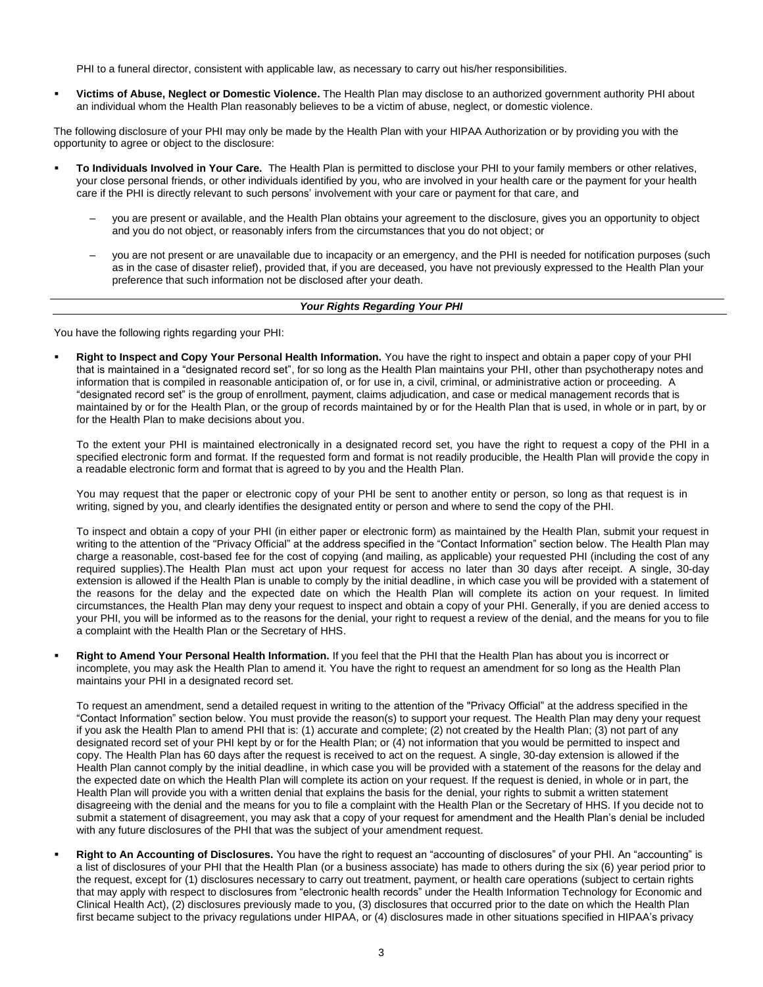PHI to a funeral director, consistent with applicable law, as necessary to carry out his/her responsibilities.

▪ **Victims of Abuse, Neglect or Domestic Violence.** The Health Plan may disclose to an authorized government authority PHI about an individual whom the Health Plan reasonably believes to be a victim of abuse, neglect, or domestic violence.

The following disclosure of your PHI may only be made by the Health Plan with your HIPAA Authorization or by providing you with the opportunity to agree or object to the disclosure:

- To Individuals Involved in Your Care. The Health Plan is permitted to disclose your PHI to your family members or other relatives, your close personal friends, or other individuals identified by you, who are involved in your health care or the payment for your health care if the PHI is directly relevant to such persons' involvement with your care or payment for that care, and
	- ‒ you are present or available, and the Health Plan obtains your agreement to the disclosure, gives you an opportunity to object and you do not object, or reasonably infers from the circumstances that you do not object; or
	- ‒ you are not present or are unavailable due to incapacity or an emergency, and the PHI is needed for notification purposes (such as in the case of disaster relief), provided that, if you are deceased, you have not previously expressed to the Health Plan your preference that such information not be disclosed after your death.

#### *Your Rights Regarding Your PHI*

You have the following rights regarding your PHI:

Right to Inspect and Copy Your Personal Health Information. You have the right to inspect and obtain a paper copy of your PHI that is maintained in a "designated record set", for so long as the Health Plan maintains your PHI, other than psychotherapy notes and information that is compiled in reasonable anticipation of, or for use in, a civil, criminal, or administrative action or proceeding. A "designated record set" is the group of enrollment, payment, claims adjudication, and case or medical management records that is maintained by or for the Health Plan, or the group of records maintained by or for the Health Plan that is used, in whole or in part, by or for the Health Plan to make decisions about you.

To the extent your PHI is maintained electronically in a designated record set, you have the right to request a copy of the PHI in a specified electronic form and format. If the requested form and format is not readily producible, the Health Plan will provide the copy in a readable electronic form and format that is agreed to by you and the Health Plan.

You may request that the paper or electronic copy of your PHI be sent to another entity or person, so long as that request is in writing, signed by you, and clearly identifies the designated entity or person and where to send the copy of the PHI.

To inspect and obtain a copy of your PHI (in either paper or electronic form) as maintained by the Health Plan, submit your request in writing to the attention of the "Privacy Official" at the address specified in the "Contact Information" section below. The Health Plan may charge a reasonable, cost-based fee for the cost of copying (and mailing, as applicable) your requested PHI (including the cost of any required supplies).The Health Plan must act upon your request for access no later than 30 days after receipt. A single, 30-day extension is allowed if the Health Plan is unable to comply by the initial deadline, in which case you will be provided with a statement of the reasons for the delay and the expected date on which the Health Plan will complete its action on your request. In limited circumstances, the Health Plan may deny your request to inspect and obtain a copy of your PHI. Generally, if you are denied access to your PHI, you will be informed as to the reasons for the denial, your right to request a review of the denial, and the means for you to file a complaint with the Health Plan or the Secretary of HHS.

Right to Amend Your Personal Health Information. If you feel that the PHI that the Health Plan has about you is incorrect or incomplete, you may ask the Health Plan to amend it. You have the right to request an amendment for so long as the Health Plan maintains your PHI in a designated record set.

To request an amendment, send a detailed request in writing to the attention of the "Privacy Official" at the address specified in the "Contact Information" section below. You must provide the reason(s) to support your request. The Health Plan may deny your request if you ask the Health Plan to amend PHI that is: (1) accurate and complete; (2) not created by the Health Plan; (3) not part of any designated record set of your PHI kept by or for the Health Plan; or (4) not information that you would be permitted to inspect and copy. The Health Plan has 60 days after the request is received to act on the request. A single, 30-day extension is allowed if the Health Plan cannot comply by the initial deadline, in which case you will be provided with a statement of the reasons for the delay and the expected date on which the Health Plan will complete its action on your request. If the request is denied, in whole or in part, the Health Plan will provide you with a written denial that explains the basis for the denial, your rights to submit a written statement disagreeing with the denial and the means for you to file a complaint with the Health Plan or the Secretary of HHS. If you decide not to submit a statement of disagreement, you may ask that a copy of your request for amendment and the Health Plan's denial be included with any future disclosures of the PHI that was the subject of your amendment request.

▪ **Right to An Accounting of Disclosures.** You have the right to request an "accounting of disclosures" of your PHI. An "accounting" is a list of disclosures of your PHI that the Health Plan (or a business associate) has made to others during the six (6) year period prior to the request, except for (1) disclosures necessary to carry out treatment, payment, or health care operations (subject to certain rights that may apply with respect to disclosures from "electronic health records" under the Health Information Technology for Economic and Clinical Health Act), (2) disclosures previously made to you, (3) disclosures that occurred prior to the date on which the Health Plan first became subject to the privacy regulations under HIPAA, or (4) disclosures made in other situations specified in HIPAA's privacy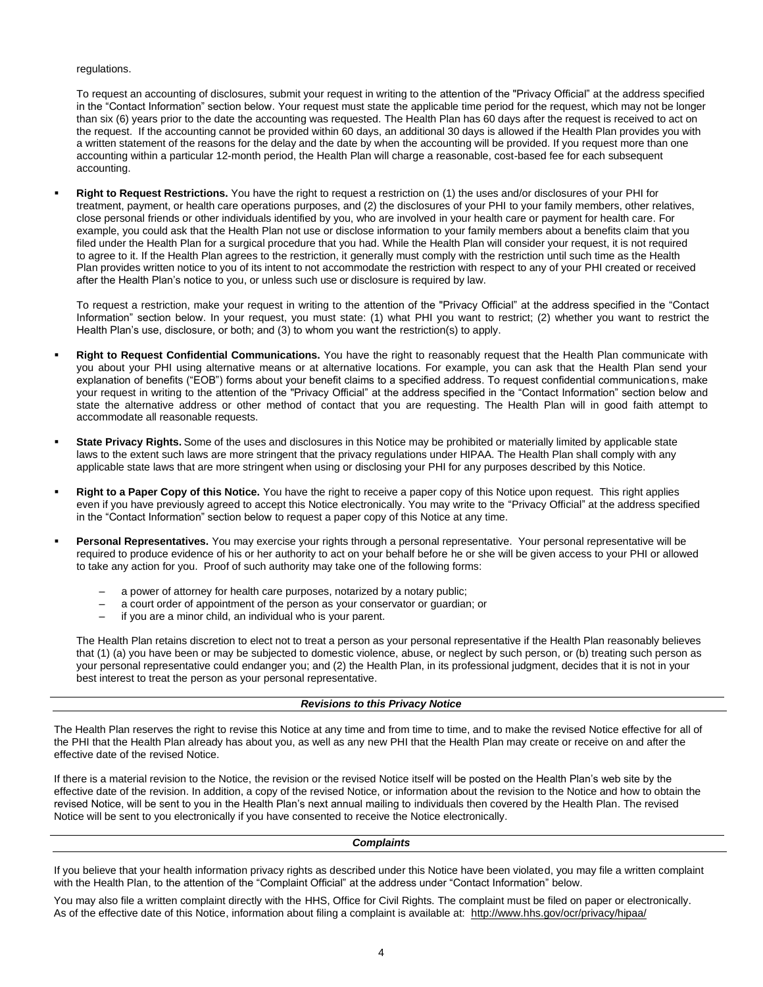regulations.

To request an accounting of disclosures, submit your request in writing to the attention of the "Privacy Official" at the address specified in the "Contact Information" section below. Your request must state the applicable time period for the request, which may not be longer than six (6) years prior to the date the accounting was requested. The Health Plan has 60 days after the request is received to act on the request. If the accounting cannot be provided within 60 days, an additional 30 days is allowed if the Health Plan provides you with a written statement of the reasons for the delay and the date by when the accounting will be provided. If you request more than one accounting within a particular 12-month period, the Health Plan will charge a reasonable, cost-based fee for each subsequent accounting.

▪ **Right to Request Restrictions.** You have the right to request a restriction on (1) the uses and/or disclosures of your PHI for treatment, payment, or health care operations purposes, and (2) the disclosures of your PHI to your family members, other relatives, close personal friends or other individuals identified by you, who are involved in your health care or payment for health care. For example, you could ask that the Health Plan not use or disclose information to your family members about a benefits claim that you filed under the Health Plan for a surgical procedure that you had. While the Health Plan will consider your request, it is not required to agree to it. If the Health Plan agrees to the restriction, it generally must comply with the restriction until such time as the Health Plan provides written notice to you of its intent to not accommodate the restriction with respect to any of your PHI created or received after the Health Plan's notice to you, or unless such use or disclosure is required by law.

To request a restriction, make your request in writing to the attention of the "Privacy Official" at the address specified in the "Contact Information" section below. In your request, you must state: (1) what PHI you want to restrict; (2) whether you want to restrict the Health Plan's use, disclosure, or both; and (3) to whom you want the restriction(s) to apply.

- **Right to Request Confidential Communications.** You have the right to reasonably request that the Health Plan communicate with you about your PHI using alternative means or at alternative locations. For example, you can ask that the Health Plan send your explanation of benefits ("EOB") forms about your benefit claims to a specified address. To request confidential communications, make your request in writing to the attention of the "Privacy Official" at the address specified in the "Contact Information" section below and state the alternative address or other method of contact that you are requesting. The Health Plan will in good faith attempt to accommodate all reasonable requests.
- State Privacy Rights. Some of the uses and disclosures in this Notice may be prohibited or materially limited by applicable state laws to the extent such laws are more stringent that the privacy regulations under HIPAA. The Health Plan shall comply with any applicable state laws that are more stringent when using or disclosing your PHI for any purposes described by this Notice.
- **Right to a Paper Copy of this Notice.** You have the right to receive a paper copy of this Notice upon request. This right applies even if you have previously agreed to accept this Notice electronically. You may write to the "Privacy Official" at the address specified in the "Contact Information" section below to request a paper copy of this Notice at any time.
- Personal Representatives. You may exercise your rights through a personal representative. Your personal representative will be required to produce evidence of his or her authority to act on your behalf before he or she will be given access to your PHI or allowed to take any action for you. Proof of such authority may take one of the following forms:
	- ‒ a power of attorney for health care purposes, notarized by a notary public;
	- ‒ a court order of appointment of the person as your conservator or guardian; or
	- ‒ if you are a minor child, an individual who is your parent.

The Health Plan retains discretion to elect not to treat a person as your personal representative if the Health Plan reasonably believes that (1) (a) you have been or may be subjected to domestic violence, abuse, or neglect by such person, or (b) treating such person as your personal representative could endanger you; and (2) the Health Plan, in its professional judgment, decides that it is not in your best interest to treat the person as your personal representative.

# *Revisions to this Privacy Notice*

The Health Plan reserves the right to revise this Notice at any time and from time to time, and to make the revised Notice effective for all of the PHI that the Health Plan already has about you, as well as any new PHI that the Health Plan may create or receive on and after the effective date of the revised Notice.

If there is a material revision to the Notice, the revision or the revised Notice itself will be posted on the Health Plan's web site by the effective date of the revision. In addition, a copy of the revised Notice, or information about the revision to the Notice and how to obtain the revised Notice, will be sent to you in the Health Plan's next annual mailing to individuals then covered by the Health Plan. The revised Notice will be sent to you electronically if you have consented to receive the Notice electronically.

## *Complaints*

If you believe that your health information privacy rights as described under this Notice have been violated, you may file a written complaint with the Health Plan, to the attention of the "Complaint Official" at the address under "Contact Information" below.

You may also file a written complaint directly with the HHS, Office for Civil Rights. The complaint must be filed on paper or electronically. As of the effective date of this Notice, information about filing a complaint is available at: http://www.hhs.gov/ocr/privacy/hipaa/